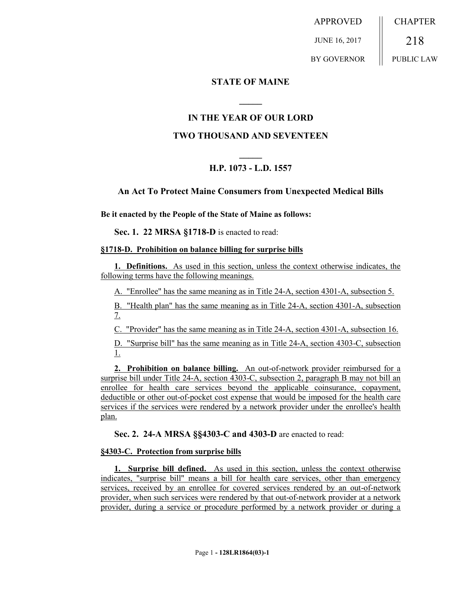APPROVED JUNE 16, 2017 BY GOVERNOR **CHAPTER** 218 PUBLIC LAW

## **STATE OF MAINE**

## **IN THE YEAR OF OUR LORD**

**\_\_\_\_\_**

## **TWO THOUSAND AND SEVENTEEN**

# **\_\_\_\_\_ H.P. 1073 - L.D. 1557**

### **An Act To Protect Maine Consumers from Unexpected Medical Bills**

**Be it enacted by the People of the State of Maine as follows:**

**Sec. 1. 22 MRSA §1718-D** is enacted to read:

#### **§1718-D. Prohibition on balance billing for surprise bills**

**1. Definitions.** As used in this section, unless the context otherwise indicates, the following terms have the following meanings.

A. "Enrollee" has the same meaning as in Title 24-A, section 4301-A, subsection 5.

B. "Health plan" has the same meaning as in Title 24-A, section 4301-A, subsection 7.

C. "Provider" has the same meaning as in Title 24-A, section 4301-A, subsection 16.

D. "Surprise bill" has the same meaning as in Title 24-A, section 4303-C, subsection 1.

**2. Prohibition on balance billing.** An out-of-network provider reimbursed for a surprise bill under Title 24-A, section 4303-C, subsection 2, paragraph B may not bill an enrollee for health care services beyond the applicable coinsurance, copayment, deductible or other out-of-pocket cost expense that would be imposed for the health care services if the services were rendered by a network provider under the enrollee's health plan.

**Sec. 2. 24-A MRSA §§4303-C and 4303-D** are enacted to read:

#### **§4303-C. Protection from surprise bills**

**1. Surprise bill defined.** As used in this section, unless the context otherwise indicates, "surprise bill" means a bill for health care services, other than emergency services, received by an enrollee for covered services rendered by an out-of-network provider, when such services were rendered by that out-of-network provider at a network provider, during a service or procedure performed by a network provider or during a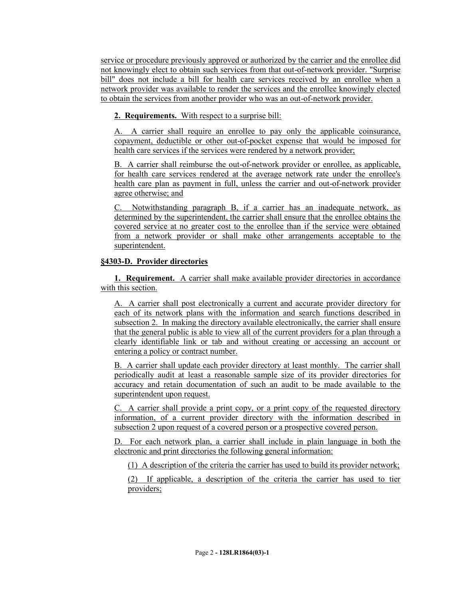service or procedure previously approved or authorized by the carrier and the enrollee did not knowingly elect to obtain such services from that out-of-network provider. "Surprise bill" does not include a bill for health care services received by an enrollee when a network provider was available to render the services and the enrollee knowingly elected to obtain the services from another provider who was an out-of-network provider.

**2. Requirements.** With respect to a surprise bill:

A. A carrier shall require an enrollee to pay only the applicable coinsurance, copayment, deductible or other out-of-pocket expense that would be imposed for health care services if the services were rendered by a network provider;

B. A carrier shall reimburse the out-of-network provider or enrollee, as applicable, for health care services rendered at the average network rate under the enrollee's health care plan as payment in full, unless the carrier and out-of-network provider agree otherwise; and

C. Notwithstanding paragraph B, if a carrier has an inadequate network, as determined by the superintendent, the carrier shall ensure that the enrollee obtains the covered service at no greater cost to the enrollee than if the service were obtained from a network provider or shall make other arrangements acceptable to the superintendent.

# **§4303-D. Provider directories**

**1. Requirement.** A carrier shall make available provider directories in accordance with this section.

A. A carrier shall post electronically a current and accurate provider directory for each of its network plans with the information and search functions described in subsection 2. In making the directory available electronically, the carrier shall ensure that the general public is able to view all of the current providers for a plan through a clearly identifiable link or tab and without creating or accessing an account or entering a policy or contract number.

B. A carrier shall update each provider directory at least monthly. The carrier shall periodically audit at least a reasonable sample size of its provider directories for accuracy and retain documentation of such an audit to be made available to the superintendent upon request.

C. A carrier shall provide a print copy, or a print copy of the requested directory information, of a current provider directory with the information described in subsection 2 upon request of a covered person or a prospective covered person.

D. For each network plan, a carrier shall include in plain language in both the electronic and print directories the following general information:

(1) A description of the criteria the carrier has used to build its provider network;

(2) If applicable, a description of the criteria the carrier has used to tier providers;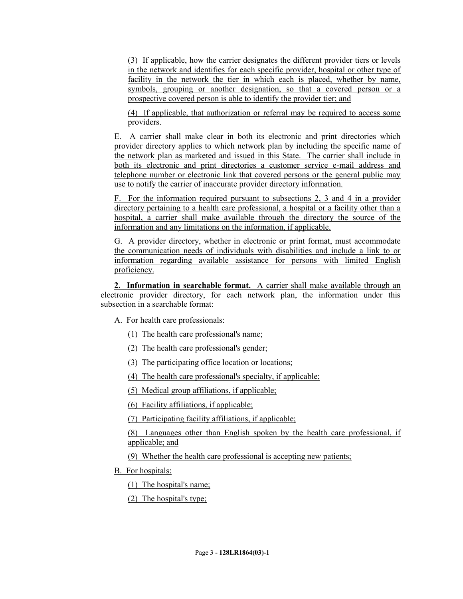(3) If applicable, how the carrier designates the different provider tiers or levels in the network and identifies for each specific provider, hospital or other type of facility in the network the tier in which each is placed, whether by name, symbols, grouping or another designation, so that a covered person or a prospective covered person is able to identify the provider tier; and

(4) If applicable, that authorization or referral may be required to access some providers.

E. A carrier shall make clear in both its electronic and print directories which provider directory applies to which network plan by including the specific name of the network plan as marketed and issued in this State. The carrier shall include in both its electronic and print directories a customer service e-mail address and telephone number or electronic link that covered persons or the general public may use to notify the carrier of inaccurate provider directory information.

F. For the information required pursuant to subsections 2, 3 and 4 in a provider directory pertaining to a health care professional, a hospital or a facility other than a hospital, a carrier shall make available through the directory the source of the information and any limitations on the information, if applicable.

G. A provider directory, whether in electronic or print format, must accommodate the communication needs of individuals with disabilities and include a link to or information regarding available assistance for persons with limited English proficiency.

**2. Information in searchable format.** A carrier shall make available through an electronic provider directory, for each network plan, the information under this subsection in a searchable format:

A. For health care professionals:

(1) The health care professional's name;

(2) The health care professional's gender;

(3) The participating office location or locations;

(4) The health care professional's specialty, if applicable;

(5) Medical group affiliations, if applicable;

(6) Facility affiliations, if applicable;

(7) Participating facility affiliations, if applicable;

(8) Languages other than English spoken by the health care professional, if applicable; and

(9) Whether the health care professional is accepting new patients;

B. For hospitals:

(1) The hospital's name;

(2) The hospital's type;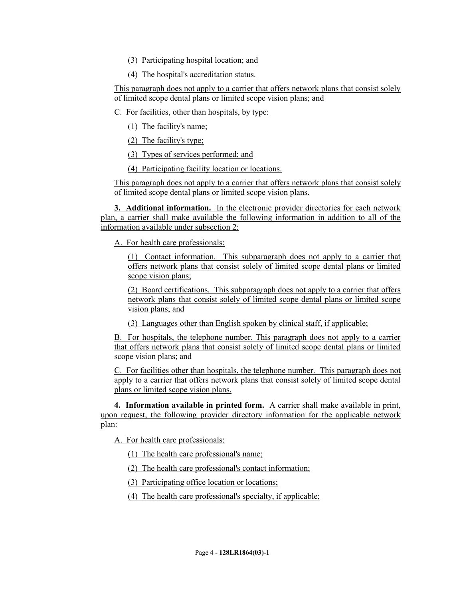(3) Participating hospital location; and

(4) The hospital's accreditation status.

This paragraph does not apply to a carrier that offers network plans that consist solely of limited scope dental plans or limited scope vision plans; and

C. For facilities, other than hospitals, by type:

(1) The facility's name;

(2) The facility's type;

(3) Types of services performed; and

(4) Participating facility location or locations.

This paragraph does not apply to a carrier that offers network plans that consist solely of limited scope dental plans or limited scope vision plans.

**3. Additional information.** In the electronic provider directories for each network plan, a carrier shall make available the following information in addition to all of the information available under subsection 2:

A. For health care professionals:

(1) Contact information. This subparagraph does not apply to a carrier that offers network plans that consist solely of limited scope dental plans or limited scope vision plans;

(2) Board certifications. This subparagraph does not apply to a carrier that offers network plans that consist solely of limited scope dental plans or limited scope vision plans; and

(3) Languages other than English spoken by clinical staff, if applicable;

B. For hospitals, the telephone number. This paragraph does not apply to a carrier that offers network plans that consist solely of limited scope dental plans or limited scope vision plans; and

C. For facilities other than hospitals, the telephone number. This paragraph does not apply to a carrier that offers network plans that consist solely of limited scope dental plans or limited scope vision plans.

**4. Information available in printed form.** A carrier shall make available in print, upon request, the following provider directory information for the applicable network plan:

A. For health care professionals:

(1) The health care professional's name;

(2) The health care professional's contact information;

(3) Participating office location or locations;

(4) The health care professional's specialty, if applicable;